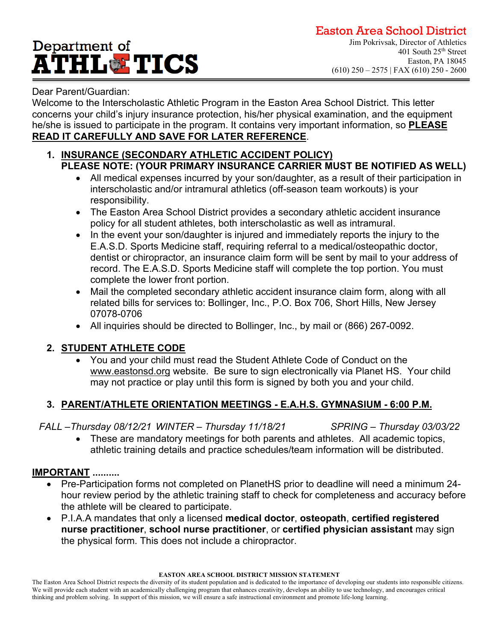# Department of **ATHL&TICS**

### Dear Parent/Guardian:

Welcome to the Interscholastic Athletic Program in the Easton Area School District. This letter concerns your child's injury insurance protection, his/her physical examination, and the equipment he/she is issued to participate in the program. It contains very important information, so **PLEASE READ IT CAREFULLY AND SAVE FOR LATER REFERENCE**.

### **1. INSURANCE (SECONDARY ATHLETIC ACCIDENT POLICY) PLEASE NOTE: (YOUR PRIMARY INSURANCE CARRIER MUST BE NOTIFIED AS WELL)**

- All medical expenses incurred by your son/daughter, as a result of their participation in interscholastic and/or intramural athletics (off-season team workouts) is your responsibility.
- The Easton Area School District provides a secondary athletic accident insurance policy for all student athletes, both interscholastic as well as intramural.
- In the event your son/daughter is injured and immediately reports the injury to the E.A.S.D. Sports Medicine staff, requiring referral to a medical/osteopathic doctor, dentist or chiropractor, an insurance claim form will be sent by mail to your address of record. The E.A.S.D. Sports Medicine staff will complete the top portion. You must complete the lower front portion.
- Mail the completed secondary athletic accident insurance claim form, along with all related bills for services to: Bollinger, Inc., P.O. Box 706, Short Hills, New Jersey 07078-0706
- All inquiries should be directed to Bollinger, Inc., by mail or (866) 267-0092.

### **2. STUDENT ATHLETE CODE**

• You and your child must read the Student Athlete Code of Conduct on the www.eastonsd.org website. Be sure to sign electronically via Planet HS. Your child may not practice or play until this form is signed by both you and your child.

### **3. PARENT/ATHLETE ORIENTATION MEETINGS - E.A.H.S. GYMNASIUM - 6:00 P.M.**

*FALL –Thursday 08/12/21 WINTER – Thursday 11/18/21 SPRING – Thursday 03/03/22*

• These are mandatory meetings for both parents and athletes. All academic topics, athletic training details and practice schedules/team information will be distributed.

### **IMPORTANT ..........**

- Pre-Participation forms not completed on PlanetHS prior to deadline will need a minimum 24 hour review period by the athletic training staff to check for completeness and accuracy before the athlete will be cleared to participate.
- P.I.A.A mandates that only a licensed **medical doctor**, **osteopath**, **certified registered nurse practitioner**, **school nurse practitioner**, or **certified physician assistant** may sign the physical form. This does not include a chiropractor.

**EASTON AREA SCHOOL DISTRICT MISSION STATEMENT**

The Easton Area School District respects the diversity of its student population and is dedicated to the importance of developing our students into responsible citizens. We will provide each student with an academically challenging program that enhances creativity, develops an ability to use technology, and encourages critical thinking and problem solving. In support of this mission, we will ensure a safe instructional environment and promote life-long learning.